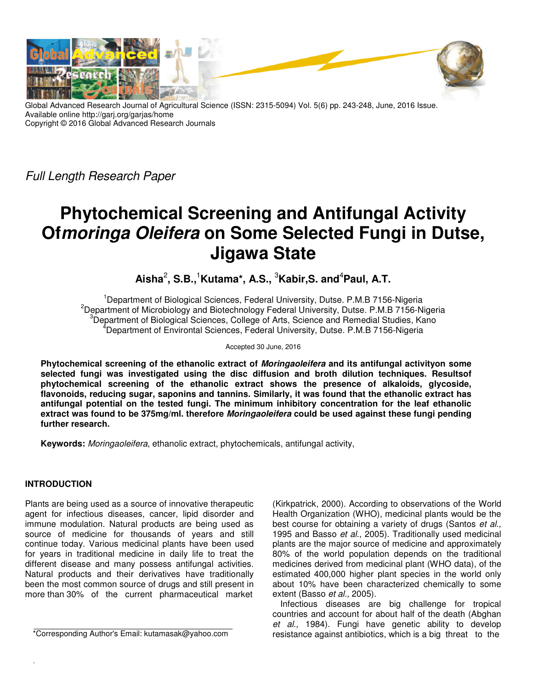

Global Advanced Research Journal of Agricultural Science (ISSN: 2315-5094) Vol. 5(6) pp. 243-248, June, 2016 Issue. Available online http://garj.org/garjas/home Copyright © 2016 Global Advanced Research Journals

Full Length Research Paper

# **Phytochemical Screening and Antifungal Activity Ofmoringa Oleifera on Some Selected Fungi in Dutse, Jigawa State**

**Aisha**<sup>2</sup> **, S.B.,**<sup>1</sup>**Kutama\*, A.S.,** <sup>3</sup>**Kabir,S. and**<sup>4</sup>**Paul, A.T.** 

<sup>1</sup>Department of Biological Sciences, Federal University, Dutse. P.M.B 7156-Nigeria <sup>2</sup>Department of Microbiology and Biotechnology Federal University, Dutse. P.M.B 7156-Nigeria Department of Biological Sciences, College of Arts, Science and Remedial Studies, Kano <sup>4</sup>Department of Environtal Sciences, Federal University, Dutse. P.M.B 7156-Nigeria

Accepted 30 June, 2016

**Phytochemical screening of the ethanolic extract of Moringaoleifera and its antifungal activityon some selected fungi was investigated using the disc diffusion and broth dilution techniques. Resultsof phytochemical screening of the ethanolic extract shows the presence of alkaloids, glycoside, flavonoids, reducing sugar, saponins and tannins. Similarly, it was found that the ethanolic extract has antifungal potential on the tested fungi. The minimum inhibitory concentration for the leaf ethanolic extract was found to be 375mg/ml. therefore Moringaoleifera could be used against these fungi pending further research.** 

**Keywords:** Moringaoleifera, ethanolic extract, phytochemicals, antifungal activity,

# **INTRODUCTION**

Plants are being used as a source of innovative therapeutic agent for infectious diseases, cancer, lipid disorder and immune modulation. Natural products are being used as source of medicine for thousands of years and still continue today. Various medicinal plants have been used for years in traditional medicine in daily life to treat the different disease and many possess antifungal activities. Natural products and their derivatives have traditionally been the most common source of drugs and still present in more than 30% of the current pharmaceutical market

\*Corresponding Author's Email: kutamasak@yahoo.com

(Kirkpatrick, 2000). According to observations of the World Health Organization (WHO), medicinal plants would be the best course for obtaining a variety of drugs (Santos et al., 1995 and Basso et al., 2005). Traditionally used medicinal plants are the major source of medicine and approximately 80% of the world population depends on the traditional medicines derived from medicinal plant (WHO data), of the estimated 400,000 higher plant species in the world only about 10% have been characterized chemically to some extent (Basso et al., 2005).

Infectious diseases are big challenge for tropical countries and account for about half of the death (Abghan et al., 1984). Fungi have genetic ability to develop resistance against antibiotics, which is a big threat to the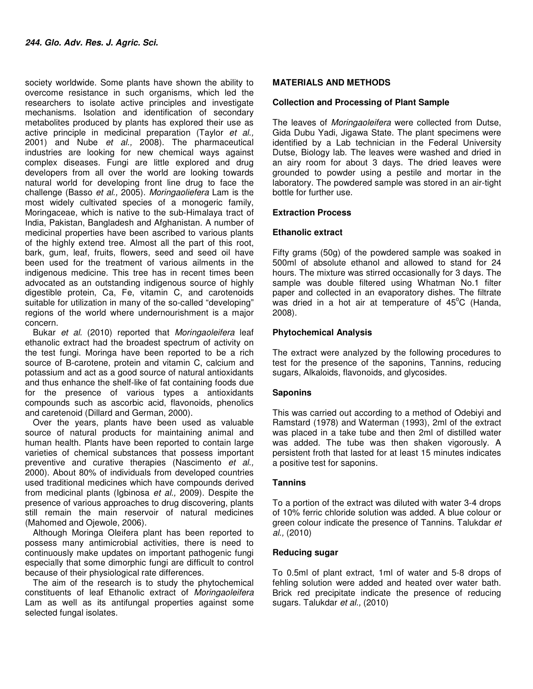society worldwide. Some plants have shown the ability to overcome resistance in such organisms, which led the researchers to isolate active principles and investigate mechanisms. Isolation and identification of secondary metabolites produced by plants has explored their use as active principle in medicinal preparation (Taylor et al., 2001) and Nube et al., 2008). The pharmaceutical industries are looking for new chemical ways against complex diseases. Fungi are little explored and drug developers from all over the world are looking towards natural world for developing front line drug to face the challenge (Basso et al., 2005). Moringaoliefera Lam is the most widely cultivated species of a monogeric family, Moringaceae, which is native to the sub-Himalaya tract of India, Pakistan, Bangladesh and Afghanistan. A number of medicinal properties have been ascribed to various plants of the highly extend tree. Almost all the part of this root, bark, gum, leaf, fruits, flowers, seed and seed oil have been used for the treatment of various ailments in the indigenous medicine. This tree has in recent times been advocated as an outstanding indigenous source of highly digestible protein, Ca, Fe, vitamin C, and carotenoids suitable for utilization in many of the so-called "developing" regions of the world where undernourishment is a major concern.

Bukar et al. (2010) reported that Moringaoleifera leaf ethanolic extract had the broadest spectrum of activity on the test fungi. Moringa have been reported to be a rich source of B-carotene, protein and vitamin C, calcium and potassium and act as a good source of natural antioxidants and thus enhance the shelf-like of fat containing foods due for the presence of various types a antioxidants compounds such as ascorbic acid, flavonoids, phenolics and caretenoid (Dillard and German, 2000).

Over the years, plants have been used as valuable source of natural products for maintaining animal and human health. Plants have been reported to contain large varieties of chemical substances that possess important preventive and curative therapies (Nascimento et al., 2000). About 80% of individuals from developed countries used traditional medicines which have compounds derived from medicinal plants (Igbinosa et al., 2009). Despite the presence of various approaches to drug discovering, plants still remain the main reservoir of natural medicines (Mahomed and Ojewole, 2006).

Although Moringa Oleifera plant has been reported to possess many antimicrobial activities, there is need to continuously make updates on important pathogenic fungi especially that some dimorphic fungi are difficult to control because of their physiological rate differences.

The aim of the research is to study the phytochemical constituents of leaf Ethanolic extract of Moringaoleifera Lam as well as its antifungal properties against some selected fungal isolates.

# **MATERIALS AND METHODS**

#### **Collection and Processing of Plant Sample**

The leaves of Moringaoleifera were collected from Dutse, Gida Dubu Yadi, Jigawa State. The plant specimens were identified by a Lab technician in the Federal University Dutse, Biology lab. The leaves were washed and dried in an airy room for about 3 days. The dried leaves were grounded to powder using a pestile and mortar in the laboratory. The powdered sample was stored in an air-tight bottle for further use.

#### **Extraction Process**

#### **Ethanolic extract**

Fifty grams (50g) of the powdered sample was soaked in 500ml of absolute ethanol and allowed to stand for 24 hours. The mixture was stirred occasionally for 3 days. The sample was double filtered using Whatman No.1 filter paper and collected in an evaporatory dishes. The filtrate was dried in a hot air at temperature of  $45^{\circ}$ C (Handa, 2008).

#### **Phytochemical Analysis**

The extract were analyzed by the following procedures to test for the presence of the saponins, Tannins, reducing sugars, Alkaloids, flavonoids, and glycosides.

#### **Saponins**

This was carried out according to a method of Odebiyi and Ramstard (1978) and Waterman (1993), 2ml of the extract was placed in a take tube and then 2ml of distilled water was added. The tube was then shaken vigorously. A persistent froth that lasted for at least 15 minutes indicates a positive test for saponins.

# **Tannins**

To a portion of the extract was diluted with water 3-4 drops of 10% ferric chloride solution was added. A blue colour or green colour indicate the presence of Tannins. Talukdar et al., (2010)

#### **Reducing sugar**

To 0.5ml of plant extract, 1ml of water and 5-8 drops of fehling solution were added and heated over water bath. Brick red precipitate indicate the presence of reducing sugars. Talukdar et al., (2010)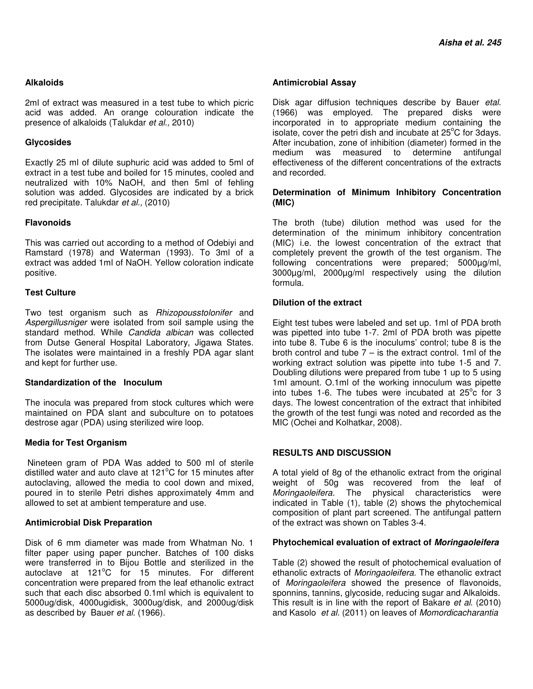# **Alkaloids**

2ml of extract was measured in a test tube to which picric acid was added. An orange colouration indicate the presence of alkaloids (Talukdar et al., 2010)

# **Glycosides**

Exactly 25 ml of dilute suphuric acid was added to 5ml of extract in a test tube and boiled for 15 minutes, cooled and neutralized with 10% NaOH, and then 5ml of fehling solution was added. Glycosides are indicated by a brick red precipitate. Talukdar et al., (2010)

# **Flavonoids**

This was carried out according to a method of Odebiyi and Ramstard (1978) and Waterman (1993). To 3ml of a extract was added 1ml of NaOH. Yellow coloration indicate positive.

# **Test Culture**

Two test organism such as Rhizopousstolonifer and Aspergillusniger were isolated from soil sample using the standard method. While Candida albican was collected from Dutse General Hospital Laboratory, Jigawa States. The isolates were maintained in a freshly PDA agar slant and kept for further use.

# **Standardization of the Inoculum**

The inocula was prepared from stock cultures which were maintained on PDA slant and subculture on to potatoes destrose agar (PDA) using sterilized wire loop.

# **Media for Test Organism**

 Nineteen gram of PDA Was added to 500 ml of sterile distilled water and auto clave at  $121^{\circ}$ C for 15 minutes after autoclaving, allowed the media to cool down and mixed, poured in to sterile Petri dishes approximately 4mm and allowed to set at ambient temperature and use.

# **Antimicrobial Disk Preparation**

Disk of 6 mm diameter was made from Whatman No. 1 filter paper using paper puncher. Batches of 100 disks were transferred in to Bijou Bottle and sterilized in the autoclave at  $121^{\circ}$ C for 15 minutes. For different concentration were prepared from the leaf ethanolic extract such that each disc absorbed 0.1ml which is equivalent to 5000ug/disk, 4000ugidisk, 3000ug/disk, and 2000ug/disk as described by Bauer et al. (1966).

# **Antimicrobial Assay**

Disk agar diffusion techniques describe by Bauer etal. (1966) was employed. The prepared disks were incorporated in to appropriate medium containing the isolate, cover the petri dish and incubate at  $25^{\circ}$ C for 3days. After incubation, zone of inhibition (diameter) formed in the medium was measured to determine antifungal medium was measured to determine antifungal effectiveness of the different concentrations of the extracts and recorded.

# **Determination of Minimum Inhibitory Concentration (MIC)**

The broth (tube) dilution method was used for the determination of the minimum inhibitory concentration (MIC) i.e. the lowest concentration of the extract that completely prevent the growth of the test organism. The following concentrations were prepared; 5000µg/ml, 3000µg/ml, 2000µg/ml respectively using the dilution formula.

# **Dilution of the extract**

Eight test tubes were labeled and set up. 1ml of PDA broth was pipetted into tube 1-7. 2ml of PDA broth was pipette into tube 8. Tube 6 is the inoculums' control; tube 8 is the broth control and tube  $7 -$  is the extract control. 1ml of the working extract solution was pipette into tube 1-5 and 7. Doubling dilutions were prepared from tube 1 up to 5 using 1ml amount. O.1ml of the working innoculum was pipette into tubes 1-6. The tubes were incubated at  $25^{\circ}$ c for 3 days. The lowest concentration of the extract that inhibited the growth of the test fungi was noted and recorded as the MIC (Ochei and Kolhatkar, 2008).

# **RESULTS AND DISCUSSION**

A total yield of 8g of the ethanolic extract from the original weight of 50g was recovered from the leaf of Moringaoleifera. The physical characteristics were indicated in Table (1), table (2) shows the phytochemical composition of plant part screened. The antifungal pattern of the extract was shown on Tables 3-4.

# **Phytochemical evaluation of extract of Moringaoleifera**

Table (2) showed the result of photochemical evaluation of ethanolic extracts of Moringaoleifera. The ethanolic extract of Moringaoleifera showed the presence of flavonoids, sponnins, tannins, glycoside, reducing sugar and Alkaloids. This result is in line with the report of Bakare et al. (2010) and Kasolo et al. (2011) on leaves of Momordicacharantia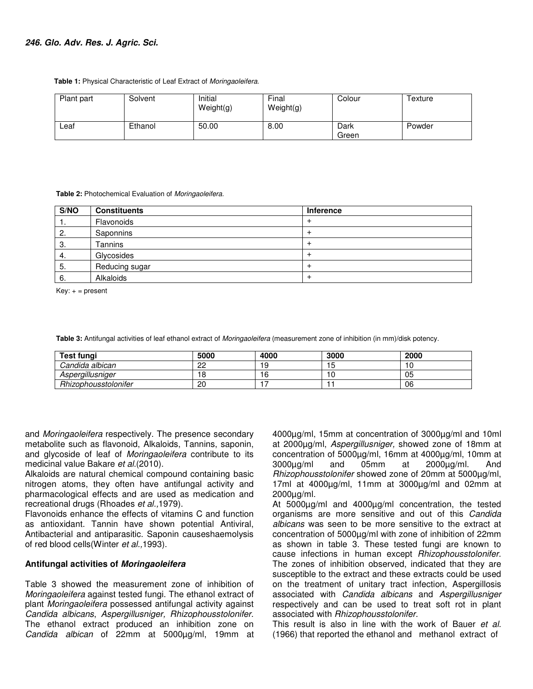**Table 1:** Physical Characteristic of Leaf Extract of Moringaoleifera.

| Plant part | Solvent | Initial<br>Weight(g) | Final<br>Weight(g) | Colour        | Texture |
|------------|---------|----------------------|--------------------|---------------|---------|
| ∟eaf       | Ethanol | 50.00                | 8.00               | Dark<br>Green | Powder  |

 **Table 2:** Photochemical Evaluation of Moringaoleifera.

| S/NO | <b>Constituents</b> | Inference |
|------|---------------------|-----------|
| . .  | Flavonoids          |           |
| 2.   | Saponnins           |           |
| 3.   | Tannins             |           |
| -4.  | Glycosides          |           |
| 5.   | Reducing sugar      |           |
| -6.  | Alkaloids           |           |

 $Key: + = present$ 

 **Table 3:** Antifungal activities of leaf ethanol extract of Moringaoleifera (measurement zone of inhibition (in mm)/disk potency.

| Test fungi           | 5000    | 4000 | 3000 | 2000 |
|----------------------|---------|------|------|------|
| Candida albican      | nn<br>ے |      | - 11 |      |
| Aspergillusniger     | 18      |      |      | 05   |
| Rhizophousstolonifer | 20      |      |      | 06   |

and Moringaoleifera respectively. The presence secondary metabolite such as flavonoid, Alkaloids, Tannins, saponin, and glycoside of leaf of Moringaoleifera contribute to its medicinal value Bakare et al.(2010).

Alkaloids are natural chemical compound containing basic nitrogen atoms, they often have antifungal activity and pharmacological effects and are used as medication and recreational drugs (Rhoades et al., 1979).

Flavonoids enhance the effects of vitamins C and function as antioxidant. Tannin have shown potential Antiviral, Antibacterial and antiparasitic. Saponin causeshaemolysis of red blood cells(Winter et al., 1993).

# **Antifungal activities of Moringaoleifera**

Table 3 showed the measurement zone of inhibition of Moringaoleifera against tested fungi. The ethanol extract of plant Moringaoleifera possessed antifungal activity against Candida albicans, Aspergillusniger, Rhizophousstolonifer. The ethanol extract produced an inhibition zone on Candida albican of 22mm at 5000µg/ml, 19mm at 4000µg/ml, 15mm at concentration of 3000µg/ml and 10ml at 2000µg/ml, Aspergillusniger, showed zone of 18mm at concentration of 5000µg/ml, 16mm at 4000µg/ml, 10mm at 3000µg/ml and 05mm at 2000µg/ml. And Rhizophousstolonifer showed zone of 20mm at 5000µg/ml, 17ml at 4000µg/ml, 11mm at 3000µg/ml and 02mm at 2000µg/ml.

At 5000µg/ml and 4000µg/ml concentration, the tested organisms are more sensitive and out of this Candida albicans was seen to be more sensitive to the extract at concentration of 5000µg/ml with zone of inhibition of 22mm as shown in table 3. These tested fungi are known to cause infections in human except Rhizophousstolonifer. The zones of inhibition observed, indicated that they are susceptible to the extract and these extracts could be used on the treatment of unitary tract infection, Aspergillosis associated with Candida albicans and Aspergillusniger respectively and can be used to treat soft rot in plant associated with Rhizophousstolonifer.

This result is also in line with the work of Bauer et al. (1966) that reported the ethanol and methanol extract of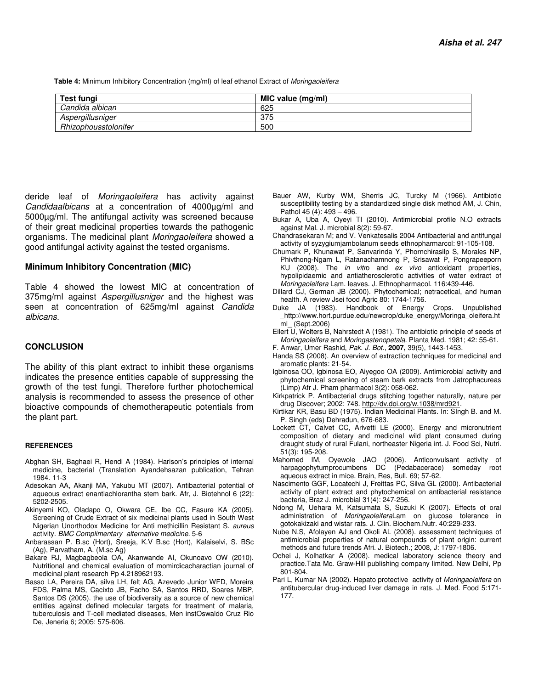**Table 4:** Minimum Inhibitory Concentration (mg/ml) of leaf ethanol Extract of Moringaoleifera

| Test fungi           | MIC value (mg/ml) |  |
|----------------------|-------------------|--|
| Candida albican      | 625               |  |
| Aspergillusniger     | 375               |  |
| Rhizophousstolonifer | 500               |  |

deride leaf of Moringaoleifera has activity against Candidaalbicans at a concentration of 4000µg/ml and 5000µg/ml. The antifungal activity was screened because of their great medicinal properties towards the pathogenic organisms. The medicinal plant Moringaoleifera showed a good antifungal activity against the tested organisms.

#### **Minimum Inhibitory Concentration (MIC)**

Table 4 showed the lowest MIC at concentration of 375mg/ml against Aspergillusniger and the highest was seen at concentration of 625mg/ml against Candida albicans.

#### **CONCLUSION**

The ability of this plant extract to inhibit these organisms indicates the presence entities capable of suppressing the growth of the test fungi. Therefore further photochemical analysis is recommended to assess the presence of other bioactive compounds of chemotherapeutic potentials from the plant part.

#### **REFERENCES**

- Abghan SH, Baghaei R, Hendi A (1984). Harison's principles of internal medicine, bacterial (Translation Ayandehsazan publication, Tehran 1984. 11-3
- Adesokan AA, Akanji MA, Yakubu MT (2007). Antibacterial potential of aqueous extract enantiachlorantha stem bark. Afr, J. Biotehnol 6 (22): 5202-2505.
- Akinyemi KO, Oladapo O, Okwara CE, Ibe CC, Fasure KA (2005). Screening of Crude Extract of six medicinal plants used in South West Nigerian Unorthodox Medicine for Anti methicillin Resistant S. aureus activity. BMC Complimentary alternative medicine. 5-6
- Anbarassan P. B.sc (Hort), Sreeja, K.V B.sc (Hort), Kalaiselvi, S. BSc (Ag), Parvatham, A. (M.sc Ag)
- Bakare RJ, Magbagbeola OA, Akanwande AI, Okunoavo OW (2010). Nutritional and chemical evaluation of momirdicacharactian journal of medicinal plant research Pp 4.218962193.
- Basso LA, Pereira DA, silva LH, felt AG, Azevedo Junior WFD, Moreira FDS, Palma MS, Cacixto JB, Facho SA, Santos RRD, Soares MBP, Santos DS (2005). the use of biodiversity as a source of new chemical entities against defined molecular targets for treatment of malaria, tuberculosis and T-cell mediated diseases, Men instOswaldo Cruz Rio De, Jeneria 6; 2005: 575-606.
- Bauer AW, Kurby WM, Sherris JC, Turcky M (1966). Antibiotic susceptibility testing by a standardized single disk method AM, J. Chin, Pathol 45 (4): 493 – 496.
- Bukar A, Uba A, Oyeyi TI (2010). Antimicrobial profile N.O extracts against Mal. J. microbial 8(2): 59-67.
- Chandrasekaran M; and V. Venkatesalis 2004 Antibacterial and antifungal activity of syzygiumjambolanum seeds ethnopharmarcol: 91-105-108.
- Chumark P, Khunawat P, Sanvarinda Y, Phornchirasilp S, Morales NP, Phivthong-Ngam L, Ratanachamnong P, Srisawat P, Pongrapeeporn KU (2008). The in vitro and ex vivo antioxidant properties, hypolipidaemic and antiatherosclerotic activities of water extract of Moringaoleifera Lam. leaves. J. Ethnopharmacol. 116:439-446.
- Dillard CJ, German JB (2000). Phytochemical; netracetical, and human health. A review Jsei food Agric 80: 1744-1756.
- Duke JA (1983). Handbook of Energy Crops. Unpublished \_http://www.hort.purdue.edu/newcrop/duke\_energy/Moringa\_oleifera.ht ml\_ (Sept.2006)
- Eilert U, Wolters B, Nahrstedt A (1981). The antibiotic principle of seeds of Moringaoleifera and Moringastenopetala. Planta Med. 1981; 42: 55-61.
- F. Anwar, Umer Rashid, Pak. J. Bot., **2007,** 39(5), 1443-1453.
- Handa SS (2008). An overview of extraction techniques for medicinal and aromatic plants: 21-54.
- Igbinosa OO, Igbinosa EO, Aiyegoo OA (2009). Antimicrobial activity and phytochemical screening of steam bark extracts from Jatrophacureas (Limp) Afr J. Pham pharmacol 3(2): 058-062.
- Kirkpatrick P. Antibacterial drugs stitching together naturally, nature per drug Discover; 2002: 748. http://dv.doi.org/w.1038/mrd921.
- Kirtikar KR, Basu BD (1975). Indian Medicinal Plants. In: SIngh B. and M. P. Singh (eds) Dehradun, 676-683.
- Lockett CT, Calvet CC, Arivetti LE (2000). Energy and micronutrient composition of dietary and medicinal wild plant consumed during draught study of rural Fulani, northeaster Nigeria int. J. Food Sci, Nutri. 51(3): 195-208.
- Mahomed IM, Oyewole JAO (2006). Anticonvulsant activity of harpagophytumprocumbens DC (Pedabacerace) someday root aqueous extract in mice. Brain, Res, Bull. 69; 57-62.
- Nascimento GGF, Locatechi J, Freittas PC, Silva GL (2000). Antibacterial activity of plant extract and phytochemical on antibacterial resistance bacteria, Braz J. microbial 31(4): 247-256.
- Ndong M, Uehara M, Katsumata S, Suzuki K (2007). Effects of oral administration of MoringaoleiferaLam on glucose tolerance in gotokakizaki and wistar rats. J. Clin. Biochem.Nutr. 40:229-233.
- Nube N.S, Afolayen AJ and Okoli AL (2008). assessment techniques of antimicrobial properties of natural compounds of plant origin: current methods and future trends Afri. J. Biotech.; 2008, J: 1797-1806.
- Ochei J, Kolhatkar A (2008). medical laboratory science theory and practice.Tata Mc. Graw-Hill publishing company limited. New Delhi, Pp 801-804.
- Pari L, Kumar NA (2002). Hepato protective activity of Moringaoleifera on antitubercular drug-induced liver damage in rats. J. Med. Food 5:171- 177.